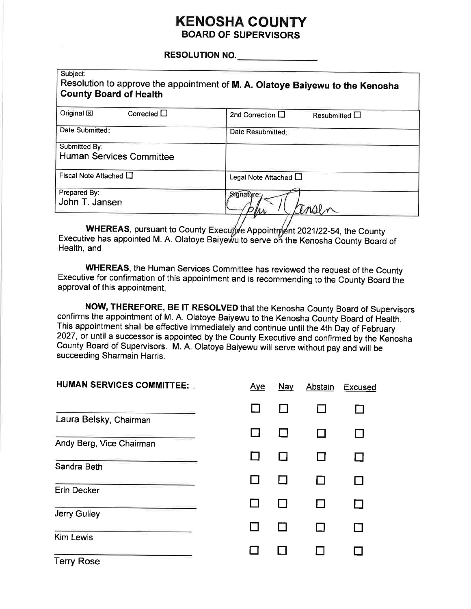## **KENOSHA COUNTY BOARD OF SUPERVISORS**

#### **RESOLUTION NO.**

| Subject:<br>Resolution to approve the appointment of M. A. Olatoye Baiyewu to the Kenosha<br><b>County Board of Health</b> |  |  |  |  |
|----------------------------------------------------------------------------------------------------------------------------|--|--|--|--|
| 2nd Correction $\Box$<br>Resubmitted $\Box$                                                                                |  |  |  |  |
| Date Resubmitted:                                                                                                          |  |  |  |  |
|                                                                                                                            |  |  |  |  |
| Legal Note Attached $\Box$                                                                                                 |  |  |  |  |
| Signature:<br>m                                                                                                            |  |  |  |  |
|                                                                                                                            |  |  |  |  |

WHEREAS, pursuant to County Executive Appointment 2021/22-54, the County<br>Executive has appointed M. A. Olatoye Baiyewu to serve on the Kenosha County Board of Health, and

WHEREAS, the Human Services Committee has reviewed the request of the County Executive for confirmation of this appointment and is recommending to the County Board the approval of this appointment,

NOW, THEREFORE, BE IT RESOLVED that the Kenosha County Board of Supervisors confirms the appointment of M. A. Olatoye Baiyewu to the Kenosha County Board of Health. This appointment shall be effective immediately and continue until the 4th Day of February 2027, or until a successor is appointed by the County Executive and confirmed by the Kenosha County Board of Supervisors. M. A. Olatoye Baiyewu will serve without pay and will be succeeding Sharmain Harris.

| <b>HUMAN SERVICES COMMITTEE:</b> | <u>Aye</u> | Nay | Abstain | Excused |
|----------------------------------|------------|-----|---------|---------|
|                                  |            |     |         |         |
| Laura Belsky, Chairman           |            |     |         |         |
| Andy Berg, Vice Chairman         |            |     |         |         |
|                                  |            |     |         |         |
| Sandra Beth                      |            |     |         |         |
| <b>Erin Decker</b>               |            |     |         |         |
|                                  |            |     |         |         |
| Jerry Gulley                     |            |     |         |         |
| <b>Kim Lewis</b>                 |            |     |         |         |
|                                  |            |     |         |         |
| <b>Terry Rose</b>                |            |     |         |         |

a sa sula la lalla la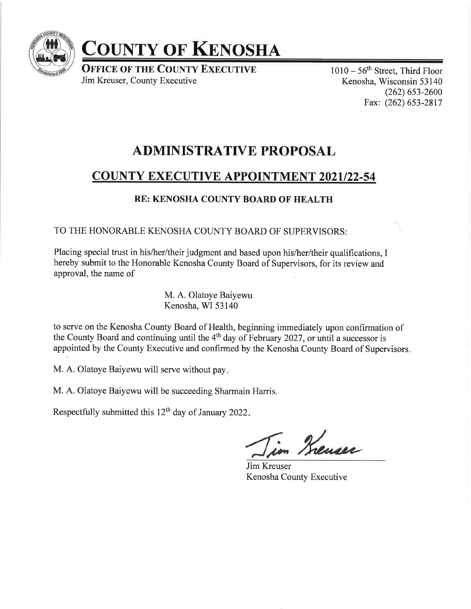

# COUNTY OF KENOSHA

**OFFICE OF THE COUNTY EXECUTIVE** Jim Kreuser, County Executive

 $1010 - 56$ <sup>th</sup> Street, Third Floor Kenosha, Wisconsin 53 140  $(262)$  653-2600 Fax: (262) 653-2817

# ADMINISTRATIVE PROPOSAL

# **COUNTY EXECUTIVE APPOINTMENT 2021/22-54**

## RE: KENOSHA COUNTY BOARD OF HEALTH

TO THE HONORABLE KENOSHA COUNTY BOARD OF SUPERVISORS:

Placing special trust in his/her/their judgment and based upon his/her/their qualifications, I hereby submit to thc Honorablc Kcnosha County Board of Supervisors, for its review and approval, the name of

> M. A. Olatoye Baiyewu Kenosha, WI 53140

to serve on the Kenosha County Board of Health, beginning immediately upon confirmation of the County Board and continuing until the  $4<sup>th</sup>$  day of February 2027, or until a successor is appointed by the County Executive and confirmed by the Kenosha County Board of Supervisors

M. A. Olatoye Baiyewu will serve without pay

M. A. Olatoye Baiyewu will be succeeding Sharmain Harris.

Respectfully submitted this  $12<sup>th</sup>$  day of January 2022.

t /,\*

Jim Kreuser Kenosha County Executive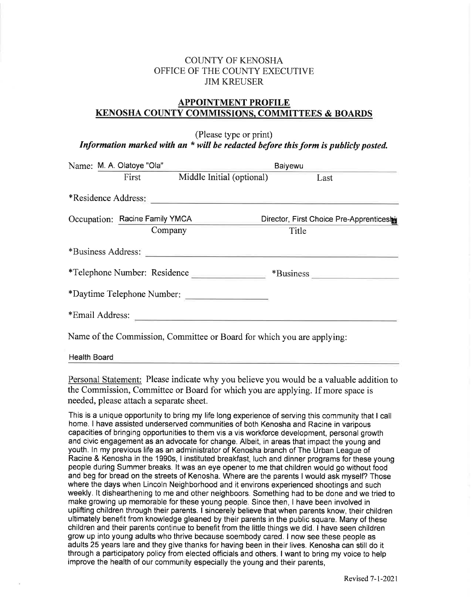## COUNTY OF KENOSHA OFFICE OF THE COUNTY EXECUTIVE JIM KREUSER

## APPOINTMENT PROFILE KENOSHA COUNTY COMMISSIONS, COMMITTEES & BOARDS

(Please type or print) Information marked with an  $*$  will be redacted before this form is publicly posted.

|                            | Name: M. A. Olatoye "Ola" |                                                                                                                                                                                                                                | Baiyewu                                   |  |  |  |
|----------------------------|---------------------------|--------------------------------------------------------------------------------------------------------------------------------------------------------------------------------------------------------------------------------|-------------------------------------------|--|--|--|
|                            | First                     | Middle Initial (optional)                                                                                                                                                                                                      | Last                                      |  |  |  |
|                            | *Residence Address:       |                                                                                                                                                                                                                                |                                           |  |  |  |
|                            |                           | Occupation: Racine Family YMCA                                                                                                                                                                                                 | Director, First Choice Pre-Apprenticeship |  |  |  |
|                            |                           | Company                                                                                                                                                                                                                        | Title                                     |  |  |  |
|                            |                           | *Business Address: National Property of the Contract of the Contract of the Contract of the Contract of the Contract of the Contract of the Contract of the Contract of the Contract of the Contract of the Contract of the Co |                                           |  |  |  |
|                            |                           | *Telephone Number: Residence                                                                                                                                                                                                   | *Business                                 |  |  |  |
| *Daytime Telephone Number: |                           |                                                                                                                                                                                                                                |                                           |  |  |  |
|                            |                           | *Email Address:                                                                                                                                                                                                                |                                           |  |  |  |
|                            |                           | Name of the Commission, Committee or Board for which you are applying:                                                                                                                                                         |                                           |  |  |  |

Health Board

Personal Statement: Please indicate why you believe you would be a valuable addition to the Commission, Committee or Board for which you are applying. If more space is needed, please attach a separate sheet.

This is a unique opportunity to bring my life long experience of serving this community that I call home. I have assisted underserved communities of both Kenosha and Racine in varipous capacities of bringing opportunities to them vis a vis workforce development, personal growth and civic engagement as an advocate for change. Albeit, in areas that impact the young and youth. ln my previous life as an administrator of Kenosha branch of The Urban League of Racine & Kenosha in the 1990s, I instituted breakfast, luch and dinner programs forthese young people during Summer breaks. lt was an eye opener to me that children would go without food and beg for bread on the streets of Kenosha. Where are the parents I would ask myself? Those where the days when Lincoln Neighborhood and it environs experienced shootings and such weekly. lt dishearthening to me and other neighboors. Something had to be done and we tried to make growing up memorable for these young people. Since then, I have been involved in uplifting children through their parents. I sincerely believe that when parents know, their children ultimately benefit from knowledge gleaned by their parents in the public square. Many of these children and their parents continue to benefit from the little things we did. I have seen children grow up into young adults who thrive because soembody cared. I now see these people as adults 25 years lare and they give thanks for having been in their lives. Kenosha can still do it through a participatory policy from elected officials and others. I want to bring my voice to help improve the health of our community especially the young and their parents,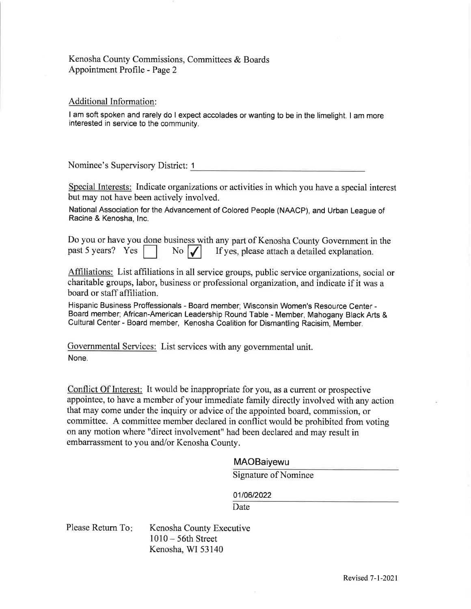## Kenosha County Commissions, Committees & Boards Appointment Profile - Page 2

#### Additional Information:

I am soft spoken and rarely do I expect accolades or wanting to be in the limelight. I am more interested in service to the community.

Nominee's Supervisory District: <sup>1</sup>

Special Interests: Indicate organizations or activities in which you have a special interest but may not have been actively involved.

National Association for the Advancement of Colored People (NAACP), and Urban League of Racine & Kenosha, lnc.

Do you or have you done business with any part of Kenosha County Government in the past 5 years? Yes No  $\vert \textbf{I} \vert$  If yes, please attach a detailed explanation.

Affiliations: List affiliations in all service groups, public service organizations, social or charitable groups, labor, business or professional organization, and indicate if it was <sup>a</sup> board or staff affiliation.

Hispanic Business Proffessionals - Board member; Wisconsin Women's Resource Center - Board member; African-American Leadership Round Table - Member, Mahogany Black Arts & Cultural Center - Board member, Kenosha Coalition for Dismantling Racisim, Member.

Governmental Services: List services with any govemmental unit. None.

Conflict Of Interest: It would be inappropriate for you, as a current or prospective appointee, to have a member of your immediate family directly involved with any action that may come under the inquiry or advice of the appointed board, commission, or committee. A committee member declared in conflict would be prohibited from voting on any motion where "direct involvement" had been declared and may result in embarrassment to you and/or Kenosha County.

#### MAOBaiyewu

Signature of Nominee

01/06/2022

Date

Kenosha County Executive  $1010 - 56$ th Street Kenosha, WI 53140 Please Retum To